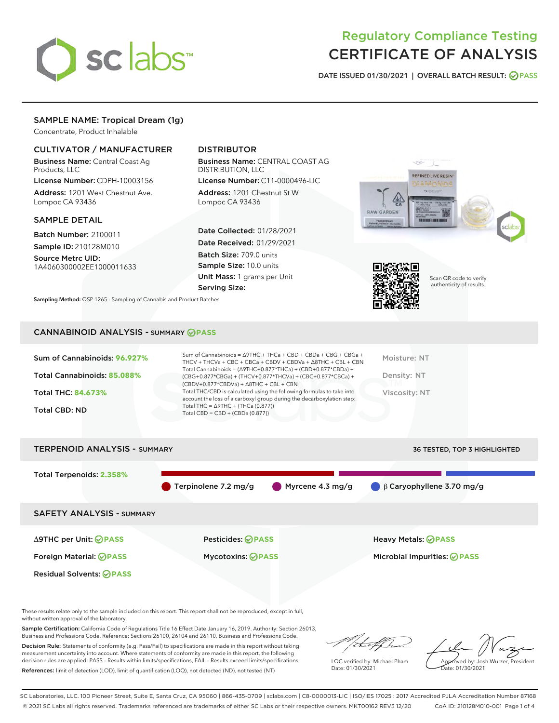

# Regulatory Compliance Testing CERTIFICATE OF ANALYSIS

DATE ISSUED 01/30/2021 | OVERALL BATCH RESULT: @ PASS

3

# SAMPLE NAME: Tropical Dream (1g)

Concentrate, Product Inhalable

# CULTIVATOR / MANUFACTURER

Business Name: Central Coast Ag Products, LLC

License Number: CDPH-10003156 Address: 1201 West Chestnut Ave. Lompoc CA 93436

## SAMPLE DETAIL

Batch Number: 2100011 Sample ID: 210128M010

Source Metrc UID: 1A4060300002EE1000011633

# DISTRIBUTOR

Business Name: CENTRAL COAST AG DISTRIBUTION, LLC

License Number: C11-0000496-LIC Address: 1201 Chestnut St W Lompoc CA 93436

Date Collected: 01/28/2021 Date Received: 01/29/2021 Batch Size: 709.0 units Sample Size: 10.0 units Unit Mass: 1 grams per Unit Serving Size:

REFINED LIVE RESIN



Scan QR code to verify authenticity of results.

Sampling Method: QSP 1265 - Sampling of Cannabis and Product Batches

## CANNABINOID ANALYSIS - SUMMARY **PASS**

|--|



These results relate only to the sample included on this report. This report shall not be reproduced, except in full, without written approval of the laboratory.

Sample Certification: California Code of Regulations Title 16 Effect Date January 16, 2019. Authority: Section 26013, Business and Professions Code. Reference: Sections 26100, 26104 and 26110, Business and Professions Code.

Decision Rule: Statements of conformity (e.g. Pass/Fail) to specifications are made in this report without taking measurement uncertainty into account. Where statements of conformity are made in this report, the following decision rules are applied: PASS – Results within limits/specifications, FAIL – Results exceed limits/specifications. References: limit of detection (LOD), limit of quantification (LOQ), not detected (ND), not tested (NT)

that fCh

LQC verified by: Michael Pham Date: 01/30/2021

Approved by: Josh Wurzer, President ate: 01/30/2021

SC Laboratories, LLC. 100 Pioneer Street, Suite E, Santa Cruz, CA 95060 | 866-435-0709 | sclabs.com | C8-0000013-LIC | ISO/IES 17025 : 2017 Accredited PJLA Accreditation Number 87168 © 2021 SC Labs all rights reserved. Trademarks referenced are trademarks of either SC Labs or their respective owners. MKT00162 REV5 12/20 CoA ID: 210128M010-001 Page 1 of 4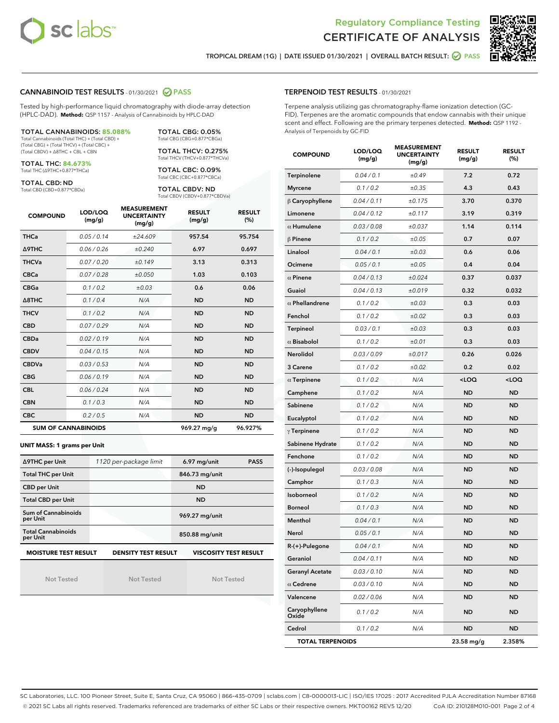



TROPICAL DREAM (1G) | DATE ISSUED 01/30/2021 | OVERALL BATCH RESULT: **○** PASS

## CANNABINOID TEST RESULTS - 01/30/2021 2 PASS

Tested by high-performance liquid chromatography with diode-array detection (HPLC-DAD). **Method:** QSP 1157 - Analysis of Cannabinoids by HPLC-DAD

TOTAL CANNABINOIDS: **85.088%** Total Cannabinoids (Total THC) + (Total CBD) + (Total CBG) + (Total THCV) + (Total CBC) +

(Total CBDV) + ∆8THC + CBL + CBN TOTAL THC: **84.673%**

Total THC (∆9THC+0.877\*THCa)

TOTAL CBD: ND Total CBD (CBD+0.877\*CBDa) Total THCV (THCV+0.877\*THCVa) TOTAL CBC: 0.09% Total CBC (CBC+0.877\*CBCa)

TOTAL CBG: 0.05% Total CBG (CBG+0.877\*CBGa) TOTAL THCV: 0.275%

TOTAL CBDV: ND Total CBDV (CBDV+0.877\*CBDVa)

| <b>COMPOUND</b>            | LOD/LOQ<br>(mg/g) | <b>MEASUREMENT</b><br><b>UNCERTAINTY</b><br>(mg/g) | <b>RESULT</b><br>(mg/g) | <b>RESULT</b><br>(%) |
|----------------------------|-------------------|----------------------------------------------------|-------------------------|----------------------|
| <b>THCa</b>                | 0.05/0.14         | ±24.609                                            | 957.54                  | 95.754               |
| <b>A9THC</b>               | 0.06/0.26         | ±0.240                                             | 6.97                    | 0.697                |
| <b>THCVa</b>               | 0.07/0.20         | ±0.149                                             | 3.13                    | 0.313                |
| <b>CBCa</b>                | 0.07/0.28         | ±0.050                                             | 1.03                    | 0.103                |
| <b>CBGa</b>                | 0.1/0.2           | ±0.03                                              | 0.6                     | 0.06                 |
| Δ8THC                      | 0.1/0.4           | N/A                                                | <b>ND</b>               | <b>ND</b>            |
| <b>THCV</b>                | 0.1/0.2           | N/A                                                | <b>ND</b>               | <b>ND</b>            |
| <b>CBD</b>                 | 0.07/0.29         | N/A                                                | <b>ND</b>               | <b>ND</b>            |
| <b>CBDa</b>                | 0.02/0.19         | N/A                                                | <b>ND</b>               | <b>ND</b>            |
| <b>CBDV</b>                | 0.04 / 0.15       | N/A                                                | <b>ND</b>               | <b>ND</b>            |
| <b>CBDVa</b>               | 0.03/0.53         | N/A                                                | <b>ND</b>               | <b>ND</b>            |
| <b>CBG</b>                 | 0.06/0.19         | N/A                                                | <b>ND</b>               | <b>ND</b>            |
| <b>CBL</b>                 | 0.06 / 0.24       | N/A                                                | <b>ND</b>               | <b>ND</b>            |
| <b>CBN</b>                 | 0.1/0.3           | N/A                                                | <b>ND</b>               | <b>ND</b>            |
| <b>CBC</b>                 | 0.2 / 0.5         | N/A                                                | <b>ND</b>               | <b>ND</b>            |
| <b>SUM OF CANNABINOIDS</b> |                   |                                                    | 969.27 ma/a             | 96.927%              |

#### **UNIT MASS: 1 grams per Unit**

| ∆9THC per Unit                                                                            | 1120 per-package limit | 6.97 mg/unit<br><b>PASS</b> |  |  |  |
|-------------------------------------------------------------------------------------------|------------------------|-----------------------------|--|--|--|
| <b>Total THC per Unit</b>                                                                 |                        | 846.73 mg/unit              |  |  |  |
| <b>CBD per Unit</b>                                                                       |                        | <b>ND</b>                   |  |  |  |
| <b>Total CBD per Unit</b>                                                                 |                        | <b>ND</b>                   |  |  |  |
| Sum of Cannabinoids<br>per Unit                                                           |                        | 969.27 mg/unit              |  |  |  |
| <b>Total Cannabinoids</b><br>per Unit                                                     |                        | 850.88 mg/unit              |  |  |  |
| <b>MOISTURE TEST RESULT</b><br><b>DENSITY TEST RESULT</b><br><b>VISCOSITY TEST RESULT</b> |                        |                             |  |  |  |

Not Tested

Not Tested

Not Tested

#### TERPENOID TEST RESULTS - 01/30/2021

Terpene analysis utilizing gas chromatography-flame ionization detection (GC-FID). Terpenes are the aromatic compounds that endow cannabis with their unique scent and effect. Following are the primary terpenes detected. **Method:** QSP 1192 - Analysis of Terpenoids by GC-FID

| <b>COMPOUND</b>         | LOD/LOQ<br>(mg/g) | <b>MEASUREMENT</b><br><b>UNCERTAINTY</b><br>(mg/g) | <b>RESULT</b><br>(mg/g)                         | <b>RESULT</b><br>(%) |
|-------------------------|-------------------|----------------------------------------------------|-------------------------------------------------|----------------------|
| Terpinolene             | 0.04 / 0.1        | ±0.49                                              | 7.2                                             | 0.72                 |
| <b>Myrcene</b>          | 0.1 / 0.2         | ±0.35                                              | 4.3                                             | 0.43                 |
| $\upbeta$ Caryophyllene | 0.04 / 0.11       | ±0.175                                             | 3.70                                            | 0.370                |
| Limonene                | 0.04 / 0.12       | ±0.117                                             | 3.19                                            | 0.319                |
| $\alpha$ Humulene       | 0.03 / 0.08       | ±0.037                                             | 1.14                                            | 0.114                |
| $\beta$ Pinene          | 0.1 / 0.2         | ±0.05                                              | 0.7                                             | 0.07                 |
| Linalool                | 0.04 / 0.1        | ±0.03                                              | 0.6                                             | 0.06                 |
| Ocimene                 | 0.05 / 0.1        | ±0.05                                              | 0.4                                             | 0.04                 |
| $\alpha$ Pinene         | 0.04/0.13         | ±0.024                                             | 0.37                                            | 0.037                |
| Guaiol                  | 0.04 / 0.13       | ±0.019                                             | 0.32                                            | 0.032                |
| $\alpha$ Phellandrene   | 0.1 / 0.2         | ±0.03                                              | 0.3                                             | 0.03                 |
| Fenchol                 | 0.1 / 0.2         | ±0.02                                              | 0.3                                             | 0.03                 |
| <b>Terpineol</b>        | 0.03 / 0.1        | ±0.03                                              | 0.3                                             | 0.03                 |
| $\alpha$ Bisabolol      | 0.1 / 0.2         | ±0.01                                              | 0.3                                             | 0.03                 |
| Nerolidol               | 0.03 / 0.09       | ±0.017                                             | 0.26                                            | 0.026                |
| 3 Carene                | 0.1 / 0.2         | ±0.02                                              | 0.2                                             | 0.02                 |
| $\alpha$ Terpinene      | 0.1 / 0.2         | N/A                                                | <loq< td=""><td><loq< td=""></loq<></td></loq<> | <loq< td=""></loq<>  |
| Camphene                | 0.1 / 0.2         | N/A                                                | <b>ND</b>                                       | ND                   |
| Sabinene                | 0.1 / 0.2         | N/A                                                | ND                                              | ND                   |
| Eucalyptol              | 0.1 / 0.2         | N/A                                                | <b>ND</b>                                       | ND                   |
| $\gamma$ Terpinene      | 0.1 / 0.2         | N/A                                                | ND                                              | ND                   |
| Sabinene Hydrate        | 0.1 / 0.2         | N/A                                                | ND                                              | ND                   |
| Fenchone                | 0.1 / 0.2         | N/A                                                | <b>ND</b>                                       | ND                   |
| (-)-Isopulegol          | 0.03 / 0.08       | N/A                                                | ND                                              | ND                   |
| Camphor                 | 0.1 / 0.3         | N/A                                                | ND                                              | ND                   |
| Isoborneol              | 0.1 / 0.2         | N/A                                                | <b>ND</b>                                       | ND                   |
| <b>Borneol</b>          | 0.1 / 0.3         | N/A                                                | ND                                              | ND                   |
| Menthol                 | 0.04 / 0.1        | N/A                                                | ND                                              | ND                   |
| Nerol                   | 0.05 / 0.1        | N/A                                                | <b>ND</b>                                       | ND                   |
| R-(+)-Pulegone          | 0.04 / 0.1        | N/A                                                | <b>ND</b>                                       | ND                   |
| Geraniol                | 0.04 / 0.11       | N/A                                                | ND                                              | ND                   |
| <b>Geranyl Acetate</b>  | 0.03 / 0.10       | N/A                                                | <b>ND</b>                                       | ND                   |
| $\alpha$ Cedrene        | 0.03 / 0.10       | N/A                                                | ND                                              | ND                   |
| Valencene               | 0.02 / 0.06       | N/A                                                | ND                                              | ND                   |
| Caryophyllene<br>Oxide  | 0.1 / 0.2         | N/A                                                | <b>ND</b>                                       | ND                   |
| Cedrol                  | 0.1 / 0.2         | N/A                                                | ND                                              | ND                   |
| <b>TOTAL TERPENOIDS</b> |                   |                                                    | 23.58 mg/g                                      | 2.358%               |

SC Laboratories, LLC. 100 Pioneer Street, Suite E, Santa Cruz, CA 95060 | 866-435-0709 | sclabs.com | C8-0000013-LIC | ISO/IES 17025 : 2017 Accredited PJLA Accreditation Number 87168 © 2021 SC Labs all rights reserved. Trademarks referenced are trademarks of either SC Labs or their respective owners. MKT00162 REV5 12/20 CoA ID: 210128M010-001 Page 2 of 4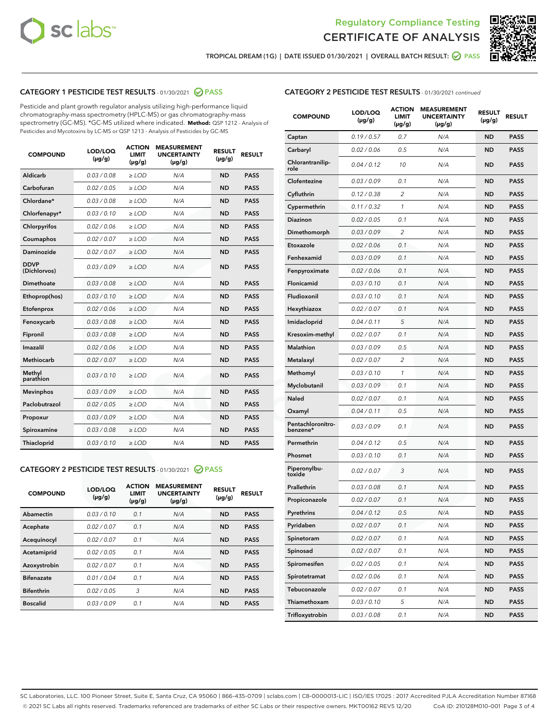



TROPICAL DREAM (1G) | DATE ISSUED 01/30/2021 | OVERALL BATCH RESULT:  $\bigcirc$  PASS

# CATEGORY 1 PESTICIDE TEST RESULTS - 01/30/2021 2 PASS

Pesticide and plant growth regulator analysis utilizing high-performance liquid chromatography-mass spectrometry (HPLC-MS) or gas chromatography-mass spectrometry (GC-MS). \*GC-MS utilized where indicated. **Method:** QSP 1212 - Analysis of Pesticides and Mycotoxins by LC-MS or QSP 1213 - Analysis of Pesticides by GC-MS

| <b>COMPOUND</b>             | LOD/LOQ<br>$(\mu g/g)$ | <b>ACTION</b><br><b>LIMIT</b><br>$(\mu g/g)$ | <b>MEASUREMENT</b><br><b>UNCERTAINTY</b><br>$(\mu g/g)$ | <b>RESULT</b><br>$(\mu g/g)$ | <b>RESULT</b> |
|-----------------------------|------------------------|----------------------------------------------|---------------------------------------------------------|------------------------------|---------------|
| Aldicarb                    | 0.03 / 0.08            | $\ge$ LOD                                    | N/A                                                     | <b>ND</b>                    | <b>PASS</b>   |
| Carbofuran                  | 0.02/0.05              | $>$ LOD                                      | N/A                                                     | <b>ND</b>                    | <b>PASS</b>   |
| Chlordane*                  | 0.03 / 0.08            | $\ge$ LOD                                    | N/A                                                     | <b>ND</b>                    | <b>PASS</b>   |
| Chlorfenapyr*               | 0.03/0.10              | $\ge$ LOD                                    | N/A                                                     | <b>ND</b>                    | <b>PASS</b>   |
| Chlorpyrifos                | 0.02 / 0.06            | $\ge$ LOD                                    | N/A                                                     | <b>ND</b>                    | <b>PASS</b>   |
| Coumaphos                   | 0.02/0.07              | $>$ LOD                                      | N/A                                                     | <b>ND</b>                    | <b>PASS</b>   |
| <b>Daminozide</b>           | 0.02 / 0.07            | $\ge$ LOD                                    | N/A                                                     | <b>ND</b>                    | <b>PASS</b>   |
| <b>DDVP</b><br>(Dichlorvos) | 0.03/0.09              | $\ge$ LOD                                    | N/A                                                     | <b>ND</b>                    | <b>PASS</b>   |
| <b>Dimethoate</b>           | 0.03/0.08              | $\ge$ LOD                                    | N/A                                                     | <b>ND</b>                    | <b>PASS</b>   |
| Ethoprop(hos)               | 0.03/0.10              | $>$ LOD                                      | N/A                                                     | <b>ND</b>                    | <b>PASS</b>   |
| Etofenprox                  | 0.02/0.06              | $\ge$ LOD                                    | N/A                                                     | <b>ND</b>                    | <b>PASS</b>   |
| Fenoxycarb                  | 0.03 / 0.08            | $>$ LOD                                      | N/A                                                     | <b>ND</b>                    | <b>PASS</b>   |
| Fipronil                    | 0.03/0.08              | $\ge$ LOD                                    | N/A                                                     | <b>ND</b>                    | <b>PASS</b>   |
| Imazalil                    | 0.02 / 0.06            | $\ge$ LOD                                    | N/A                                                     | <b>ND</b>                    | <b>PASS</b>   |
| Methiocarb                  | 0.02 / 0.07            | $\ge$ LOD                                    | N/A                                                     | <b>ND</b>                    | <b>PASS</b>   |
| Methyl<br>parathion         | 0.03/0.10              | $>$ LOD                                      | N/A                                                     | <b>ND</b>                    | <b>PASS</b>   |
| <b>Mevinphos</b>            | 0.03/0.09              | $>$ LOD                                      | N/A                                                     | <b>ND</b>                    | <b>PASS</b>   |
| Paclobutrazol               | 0.02 / 0.05            | $\ge$ LOD                                    | N/A                                                     | <b>ND</b>                    | <b>PASS</b>   |
| Propoxur                    | 0.03/0.09              | $\ge$ LOD                                    | N/A                                                     | <b>ND</b>                    | <b>PASS</b>   |
| Spiroxamine                 | 0.03 / 0.08            | $\ge$ LOD                                    | N/A                                                     | <b>ND</b>                    | <b>PASS</b>   |
| Thiacloprid                 | 0.03/0.10              | $\ge$ LOD                                    | N/A                                                     | <b>ND</b>                    | <b>PASS</b>   |

## CATEGORY 2 PESTICIDE TEST RESULTS - 01/30/2021 @ PASS

| <b>COMPOUND</b>   | LOD/LOQ<br>$(\mu g/g)$ | <b>ACTION</b><br><b>LIMIT</b><br>$(\mu g/g)$ | <b>MEASUREMENT</b><br><b>UNCERTAINTY</b><br>$(\mu g/g)$ | <b>RESULT</b><br>$(\mu g/g)$ | <b>RESULT</b> |
|-------------------|------------------------|----------------------------------------------|---------------------------------------------------------|------------------------------|---------------|
| Abamectin         | 0.03/0.10              | 0.1                                          | N/A                                                     | <b>ND</b>                    | <b>PASS</b>   |
| Acephate          | 0.02/0.07              | 0.1                                          | N/A                                                     | <b>ND</b>                    | <b>PASS</b>   |
| Acequinocyl       | 0.02/0.07              | 0.1                                          | N/A                                                     | <b>ND</b>                    | <b>PASS</b>   |
| Acetamiprid       | 0.02/0.05              | 0.1                                          | N/A                                                     | <b>ND</b>                    | <b>PASS</b>   |
| Azoxystrobin      | 0.02/0.07              | 0.1                                          | N/A                                                     | <b>ND</b>                    | <b>PASS</b>   |
| <b>Bifenazate</b> | 0.01/0.04              | 0.1                                          | N/A                                                     | <b>ND</b>                    | <b>PASS</b>   |
| <b>Bifenthrin</b> | 0.02/0.05              | 3                                            | N/A                                                     | <b>ND</b>                    | <b>PASS</b>   |
| <b>Boscalid</b>   | 0.03/0.09              | 0.1                                          | N/A                                                     | <b>ND</b>                    | <b>PASS</b>   |

|  | <b>CATEGORY 2 PESTICIDE TEST RESULTS</b> - 01/30/2021 continued |  |  |  |
|--|-----------------------------------------------------------------|--|--|--|
|--|-----------------------------------------------------------------|--|--|--|

| <b>COMPOUND</b>               | <b>LOD/LOQ</b><br>$(\mu g/g)$ | <b>ACTION</b><br><b>LIMIT</b><br>$(\mu g/g)$ | <b>MEASUREMENT</b><br><b>UNCERTAINTY</b><br>(µg/g) | <b>RESULT</b><br>(µg/g) | <b>RESULT</b> |
|-------------------------------|-------------------------------|----------------------------------------------|----------------------------------------------------|-------------------------|---------------|
| Captan                        | 0.19/0.57                     | 0.7                                          | N/A                                                | <b>ND</b>               | <b>PASS</b>   |
| Carbaryl                      | 0.02 / 0.06                   | 0.5                                          | N/A                                                | ND                      | <b>PASS</b>   |
| Chlorantranilip-<br>role      | 0.04/0.12                     | 10                                           | N/A                                                | ND                      | <b>PASS</b>   |
| Clofentezine                  | 0.03/0.09                     | 0.1                                          | N/A                                                | ND                      | <b>PASS</b>   |
| Cyfluthrin                    | 0.12 / 0.38                   | $\overline{2}$                               | N/A                                                | ND                      | <b>PASS</b>   |
| Cypermethrin                  | 0.11 / 0.32                   | 1                                            | N/A                                                | ND                      | <b>PASS</b>   |
| <b>Diazinon</b>               | 0.02 / 0.05                   | 0.1                                          | N/A                                                | ND                      | PASS          |
| Dimethomorph                  | 0.03 / 0.09                   | 2                                            | N/A                                                | ND                      | <b>PASS</b>   |
| Etoxazole                     | 0.02 / 0.06                   | 0.1                                          | N/A                                                | ND                      | <b>PASS</b>   |
| Fenhexamid                    | 0.03 / 0.09                   | 0.1                                          | N/A                                                | ND                      | <b>PASS</b>   |
| Fenpyroximate                 | 0.02 / 0.06                   | 0.1                                          | N/A                                                | ND                      | <b>PASS</b>   |
| Flonicamid                    | 0.03 / 0.10                   | 0.1                                          | N/A                                                | ND                      | <b>PASS</b>   |
| Fludioxonil                   | 0.03/0.10                     | 0.1                                          | N/A                                                | ND                      | PASS          |
| Hexythiazox                   | 0.02 / 0.07                   | 0.1                                          | N/A                                                | ND                      | <b>PASS</b>   |
| Imidacloprid                  | 0.04 / 0.11                   | 5                                            | N/A                                                | ND                      | <b>PASS</b>   |
| Kresoxim-methyl               | 0.02 / 0.07                   | 0.1                                          | N/A                                                | ND                      | <b>PASS</b>   |
| <b>Malathion</b>              | 0.03 / 0.09                   | 0.5                                          | N/A                                                | ND                      | <b>PASS</b>   |
| Metalaxyl                     | 0.02 / 0.07                   | 2                                            | N/A                                                | ND                      | <b>PASS</b>   |
| Methomyl                      | 0.03 / 0.10                   | 1                                            | N/A                                                | ND                      | PASS          |
| Myclobutanil                  | 0.03 / 0.09                   | 0.1                                          | N/A                                                | ND                      | <b>PASS</b>   |
| Naled                         | 0.02 / 0.07                   | 0.1                                          | N/A                                                | ND                      | <b>PASS</b>   |
| Oxamyl                        | 0.04 / 0.11                   | 0.5                                          | N/A                                                | ND                      | PASS          |
| Pentachloronitro-<br>benzene* | 0.03 / 0.09                   | 0.1                                          | N/A                                                | ND                      | <b>PASS</b>   |
| Permethrin                    | 0.04 / 0.12                   | 0.5                                          | N/A                                                | ND                      | <b>PASS</b>   |
| Phosmet                       | 0.03/0.10                     | 0.1                                          | N/A                                                | ND                      | <b>PASS</b>   |
| Piperonylbu-<br>toxide        | 0.02 / 0.07                   | 3                                            | N/A                                                | ND                      | <b>PASS</b>   |
| Prallethrin                   | 0.03 / 0.08                   | 0.1                                          | N/A                                                | ND                      | <b>PASS</b>   |
| Propiconazole                 | 0.02 / 0.07                   | 0.1                                          | N/A                                                | ND                      | <b>PASS</b>   |
| Pyrethrins                    | 0.04 / 0.12                   | 0.5                                          | N/A                                                | ND                      | PASS          |
| Pyridaben                     | 0.02 / 0.07                   | 0.1                                          | N/A                                                | ND                      | PASS          |
| Spinetoram                    | 0.02 / 0.07                   | 0.1                                          | N/A                                                | ND                      | <b>PASS</b>   |
| Spinosad                      | 0.02 / 0.07                   | 0.1                                          | N/A                                                | ND                      | <b>PASS</b>   |
| Spiromesifen                  | 0.02 / 0.05                   | 0.1                                          | N/A                                                | ND                      | <b>PASS</b>   |
| Spirotetramat                 | 0.02 / 0.06                   | 0.1                                          | N/A                                                | ND                      | <b>PASS</b>   |
| Tebuconazole                  | 0.02 / 0.07                   | 0.1                                          | N/A                                                | ND                      | <b>PASS</b>   |
| Thiamethoxam                  | 0.03 / 0.10                   | 5                                            | N/A                                                | ND                      | <b>PASS</b>   |
| Trifloxystrobin               | 0.03 / 0.08                   | 0.1                                          | N/A                                                | ND                      | <b>PASS</b>   |